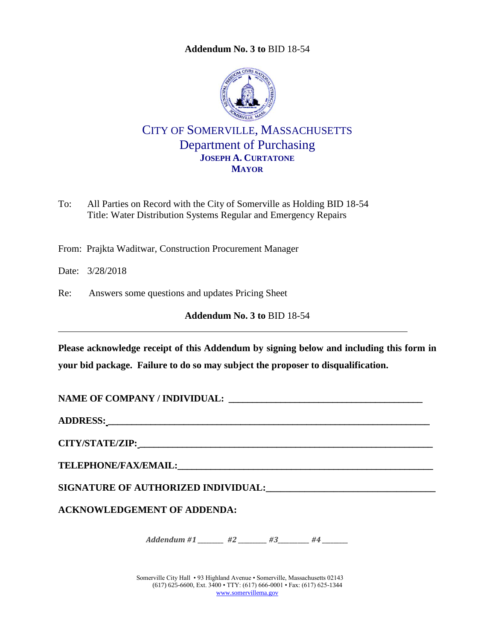<span id="page-0-0"></span>

CITY OF SOMERVILLE, MASSACHUSETTS Department of Purchasing **JOSEPH A. CURTATONE MAYOR**

To: All Parties on Record with the City of Somerville as Holding BID 18-54 Title: Water Distribution Systems Regular and Emergency Repairs

From: Prajkta Waditwar, Construction Procurement Manager

Date: 3/28/2018

Re: Answers some questions and updates Pricing Sheet

**Addendum No. 3 to** [BID 18-54](#page-0-0)

**Please acknowledge receipt of this Addendum by signing below and including this form in your bid package. Failure to do so may subject the proposer to disqualification.**

**NAME OF COMPANY / INDIVIDUAL: \_\_\_\_\_\_\_\_\_\_\_\_\_\_\_\_\_\_\_\_\_\_\_\_\_\_\_\_\_\_\_\_\_\_\_\_\_\_\_\_\_**

**ADDRESS: \_\_\_\_\_\_\_\_\_\_\_\_\_\_\_\_\_\_\_\_\_\_\_\_\_\_\_\_\_\_\_\_\_\_\_\_\_\_\_\_\_\_\_\_\_\_\_\_\_\_\_\_\_\_\_\_\_\_\_\_\_\_\_\_\_\_\_\_**

**CITY/STATE/ZIP: \_\_\_\_\_\_\_\_\_\_\_\_\_\_\_\_\_\_\_\_\_\_\_\_\_\_\_\_\_\_\_\_\_\_\_\_\_\_\_\_\_\_\_\_\_\_\_\_\_\_\_\_\_\_\_\_\_\_\_\_\_\_**

**TELEPHONE/FAX/EMAIL:\_\_\_\_\_\_\_\_\_\_\_\_\_\_\_\_\_\_\_\_\_\_\_\_\_\_\_\_\_\_\_\_\_\_\_\_\_\_\_\_\_\_\_\_\_\_\_\_\_\_\_\_\_\_**

**SIGNATURE OF AUTHORIZED INDIVIDUAL:\_\_\_\_\_\_\_\_\_\_\_\_\_\_\_\_\_\_\_\_\_\_\_\_\_\_\_\_\_\_\_\_\_\_\_**

**ACKNOWLEDGEMENT OF ADDENDA:**

*Addendum #1 \_\_\_\_\_\_\_ #2 \_\_\_\_\_\_ #3 \_\_\_\_\_\_ #4* \_\_\_\_\_

Somerville City Hall • 93 Highland Avenue • Somerville, Massachusetts 02143 (617) 625-6600, Ext. 3400 • TTY: (617) 666-0001 • Fax: (617) 625-1344 [www.somervillema.gov](http://www.somervillema.gov/)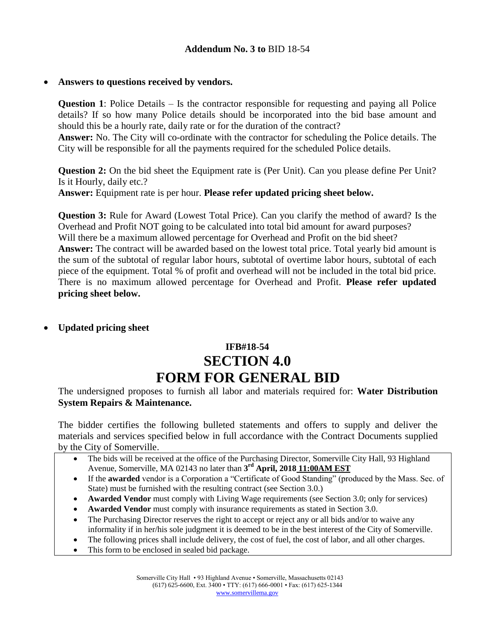#### **Answers to questions received by vendors.**

**Question 1**: Police Details – Is the contractor responsible for requesting and paying all Police details? If so how many Police details should be incorporated into the bid base amount and should this be a hourly rate, daily rate or for the duration of the contract?

**Answer:** No. The City will co-ordinate with the contractor for scheduling the Police details. The City will be responsible for all the payments required for the scheduled Police details.

**Question 2:** On the bid sheet the Equipment rate is (Per Unit). Can you please define Per Unit? Is it Hourly, daily etc.?

**Answer:** Equipment rate is per hour. **Please refer updated pricing sheet below.**

**Question 3:** Rule for Award (Lowest Total Price). Can you clarify the method of award? Is the Overhead and Profit NOT going to be calculated into total bid amount for award purposes? Will there be a maximum allowed percentage for Overhead and Profit on the bid sheet? **Answer:** The contract will be awarded based on the lowest total price. Total yearly bid amount is the sum of the subtotal of regular labor hours, subtotal of overtime labor hours, subtotal of each piece of the equipment. Total % of profit and overhead will not be included in the total bid price. There is no maximum allowed percentage for Overhead and Profit. **Please refer updated pricing sheet below.**

#### **Updated pricing sheet**

# **IFB#18-54 SECTION 4.0 FORM FOR GENERAL BID**

The undersigned proposes to furnish all labor and materials required for: **Water Distribution System Repairs & Maintenance.**

The bidder certifies the following bulleted statements and offers to supply and deliver the materials and services specified below in full accordance with the Contract Documents supplied by the City of Somerville.

- The bids will be received at the office of the Purchasing Director, Somerville City Hall, 93 Highland Avenue, Somerville, MA 02143 no later than **3 rd April, 2018 11:00AM EST**
- If the **awarded** vendor is a Corporation a "Certificate of Good Standing" (produced by the Mass. Sec. of State) must be furnished with the resulting contract (see Section 3.0.)
- **Awarded Vendor** must comply with Living Wage requirements (see Section 3.0; only for services)
- **Awarded Vendor** must comply with insurance requirements as stated in Section 3.0.
- The Purchasing Director reserves the right to accept or reject any or all bids and/or to waive any informality if in her/his sole judgment it is deemed to be in the best interest of the City of Somerville.
- The following prices shall include delivery, the cost of fuel, the cost of labor, and all other charges.
- This form to be enclosed in sealed bid package.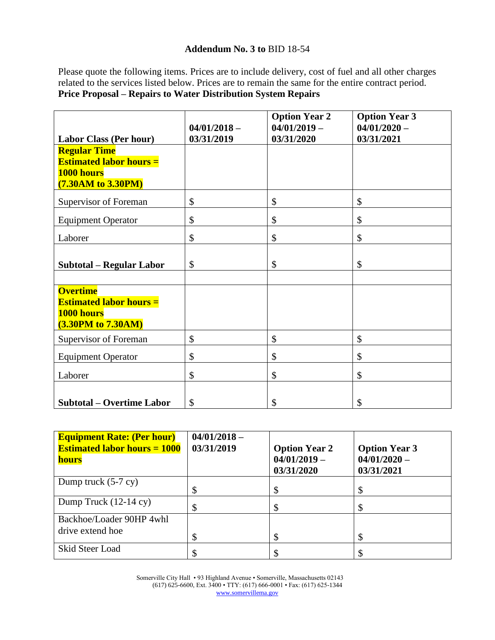Please quote the following items. Prices are to include delivery, cost of fuel and all other charges related to the services listed below. Prices are to remain the same for the entire contract period. **Price Proposal – Repairs to Water Distribution System Repairs**

|                                                                                             | $04/01/2018 -$ | <b>Option Year 2</b><br>$04/01/2019 -$ | <b>Option Year 3</b><br>$04/01/2020 -$ |
|---------------------------------------------------------------------------------------------|----------------|----------------------------------------|----------------------------------------|
| <b>Labor Class (Per hour)</b>                                                               | 03/31/2019     | 03/31/2020                             | 03/31/2021                             |
| <b>Regular Time</b><br><b>Estimated labor hours =</b><br>1000 hours<br>(7.30AM to 3.30PM)   |                |                                        |                                        |
| Supervisor of Foreman                                                                       | \$             | \$                                     | \$                                     |
| <b>Equipment Operator</b>                                                                   | \$             | \$                                     | \$                                     |
| Laborer                                                                                     | \$             | \$                                     | \$                                     |
| Subtotal – Regular Labor                                                                    | \$             | \$                                     | \$                                     |
| <b>Overtime</b><br><b>Estimated labor hours =</b><br>1000 hours<br>$(3.30$ PM to $7.30$ AM) |                |                                        |                                        |
| Supervisor of Foreman                                                                       | \$             | \$                                     | \$                                     |
| <b>Equipment Operator</b>                                                                   | \$             | \$                                     | \$                                     |
| Laborer                                                                                     | \$             | \$                                     | \$                                     |
| Subtotal – Overtime Labor                                                                   | \$             | \$                                     | \$                                     |

| <b>Equipment Rate: (Per hour)</b><br><b>Estimated labor hours = 1000</b><br><b>hours</b> | $04/01/2018 -$<br>03/31/2019 | <b>Option Year 2</b><br>$04/01/2019 -$<br>03/31/2020 | <b>Option Year 3</b><br>$04/01/2020 -$<br>03/31/2021 |
|------------------------------------------------------------------------------------------|------------------------------|------------------------------------------------------|------------------------------------------------------|
| Dump truck $(5-7 \text{ cy})$                                                            | \$                           | \$                                                   | \$                                                   |
| Dump Truck $(12-14 \text{ cy})$                                                          | \$                           | \$                                                   | \$                                                   |
| Backhoe/Loader 90HP 4whl                                                                 |                              |                                                      |                                                      |
| drive extend hoe                                                                         | \$                           | \$                                                   | \$                                                   |
| Skid Steer Load                                                                          | \$                           |                                                      |                                                      |

Somerville City Hall • 93 Highland Avenue • Somerville, Massachusetts 02143 (617) 625-6600, Ext. 3400 • TTY: (617) 666-0001 • Fax: (617) 625-1344 [www.somervillema.gov](http://www.somervillema.gov/)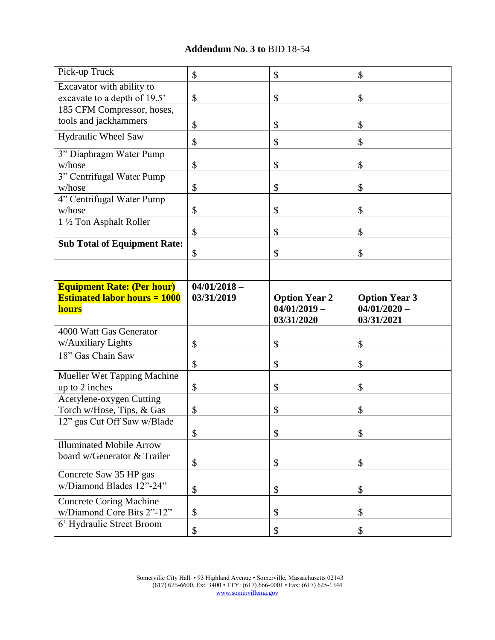| Pick-up Truck                                           | \$             | \$                   | \$                   |
|---------------------------------------------------------|----------------|----------------------|----------------------|
| Excavator with ability to                               |                |                      |                      |
| excavate to a depth of 19.5'                            | \$             | \$                   | \$                   |
| 185 CFM Compressor, hoses,                              |                |                      |                      |
| tools and jackhammers                                   | \$             | \$                   | \$                   |
|                                                         |                |                      |                      |
| Hydraulic Wheel Saw                                     | \$             | \$                   | \$                   |
| 3" Diaphragm Water Pump                                 |                |                      |                      |
| w/hose                                                  | \$             | \$                   | \$                   |
| 3" Centrifugal Water Pump                               |                |                      |                      |
| w/hose                                                  | \$             | \$                   | \$                   |
| 4" Centrifugal Water Pump                               |                |                      |                      |
| w/hose                                                  | \$             | \$                   | \$                   |
| 1 1/2 Ton Asphalt Roller                                |                |                      |                      |
|                                                         | \$             | \$                   | \$                   |
| <b>Sub Total of Equipment Rate:</b>                     |                |                      |                      |
|                                                         | \$             | \$                   | \$                   |
|                                                         |                |                      |                      |
|                                                         |                |                      |                      |
| <b>Equipment Rate: (Per hour)</b>                       | $04/01/2018 -$ |                      |                      |
|                                                         |                |                      |                      |
| <b>Estimated labor hours = 1000</b>                     | 03/31/2019     | <b>Option Year 2</b> | <b>Option Year 3</b> |
| <b>hours</b>                                            |                | $04/01/2019 -$       | $04/01/2020 -$       |
|                                                         |                | 03/31/2020           | 03/31/2021           |
| 4000 Watt Gas Generator                                 |                |                      |                      |
| w/Auxiliary Lights                                      | \$             | \$                   | \$                   |
| 18" Gas Chain Saw                                       |                |                      |                      |
|                                                         | \$             | \$                   | \$                   |
| Mueller Wet Tapping Machine                             |                |                      |                      |
| up to 2 inches                                          | \$             | \$                   | \$                   |
| Acetylene-oxygen Cutting                                |                |                      |                      |
| Torch w/Hose, Tips, & Gas                               | \$             | \$                   | \$                   |
| 12" gas Cut Off Saw w/Blade                             |                |                      |                      |
|                                                         | \$             | \$                   | \$                   |
| <b>Illuminated Mobile Arrow</b>                         |                |                      |                      |
| board w/Generator & Trailer                             | \$             | \$                   | \$                   |
| Concrete Saw 35 HP gas                                  |                |                      |                      |
| w/Diamond Blades 12"-24"                                |                |                      |                      |
|                                                         | \$             | \$                   | \$                   |
| <b>Concrete Coring Machine</b>                          |                |                      |                      |
| w/Diamond Core Bits 2"-12"<br>6' Hydraulic Street Broom | \$             | \$                   | \$                   |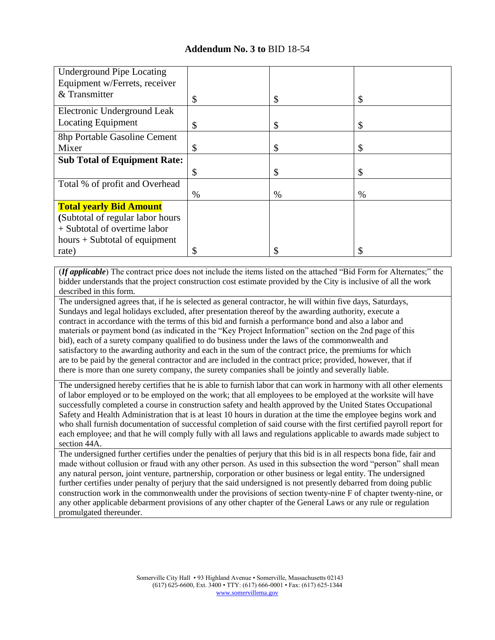| <b>Underground Pipe Locating</b>    |      |      |      |
|-------------------------------------|------|------|------|
| Equipment w/Ferrets, receiver       |      |      |      |
| & Transmitter                       | \$   | \$   | \$   |
| Electronic Underground Leak         |      |      |      |
| <b>Locating Equipment</b>           | \$   | \$   | \$   |
| 8hp Portable Gasoline Cement        |      |      |      |
| Mixer                               | \$   | \$   | \$   |
| <b>Sub Total of Equipment Rate:</b> |      |      |      |
|                                     | \$   | \$   | \$   |
| Total % of profit and Overhead      |      |      |      |
|                                     | $\%$ | $\%$ | $\%$ |
| <b>Total yearly Bid Amount</b>      |      |      |      |
| (Subtotal of regular labor hours    |      |      |      |
| + Subtotal of overtime labor        |      |      |      |
| hours $+$ Subtotal of equipment     |      |      |      |
| rate)                               | \$   |      |      |

(*If applicable*) The contract price does not include the items listed on the attached "Bid Form for Alternates;" the bidder understands that the project construction cost estimate provided by the City is inclusive of all the work described in this form.

The undersigned agrees that, if he is selected as general contractor, he will within five days, Saturdays, Sundays and legal holidays excluded, after presentation thereof by the awarding authority, execute a contract in accordance with the terms of this bid and furnish a performance bond and also a labor and materials or payment bond (as indicated in the "Key Project Information" section on the 2nd page of this bid), each of a surety company qualified to do business under the laws of the commonwealth and satisfactory to the awarding authority and each in the sum of the contract price, the premiums for which are to be paid by the general contractor and are included in the contract price; provided, however, that if there is more than one surety company, the surety companies shall be jointly and severally liable.

The undersigned hereby certifies that he is able to furnish labor that can work in harmony with all other elements of labor employed or to be employed on the work; that all employees to be employed at the worksite will have successfully completed a course in construction safety and health approved by the United States Occupational Safety and Health Administration that is at least 10 hours in duration at the time the employee begins work and who shall furnish documentation of successful completion of said course with the first certified payroll report for each employee; and that he will comply fully with all laws and regulations applicable to awards made subject to section 44A.

The undersigned further certifies under the penalties of perjury that this bid is in all respects bona fide, fair and made without collusion or fraud with any other person. As used in this subsection the word "person" shall mean any natural person, joint venture, partnership, corporation or other business or legal entity. The undersigned further certifies under penalty of perjury that the said undersigned is not presently debarred from doing public construction work in the commonwealth under the provisions of section twenty-nine F of chapter twenty-nine, or any other applicable debarment provisions of any other chapter of the General Laws or any rule or regulation promulgated thereunder.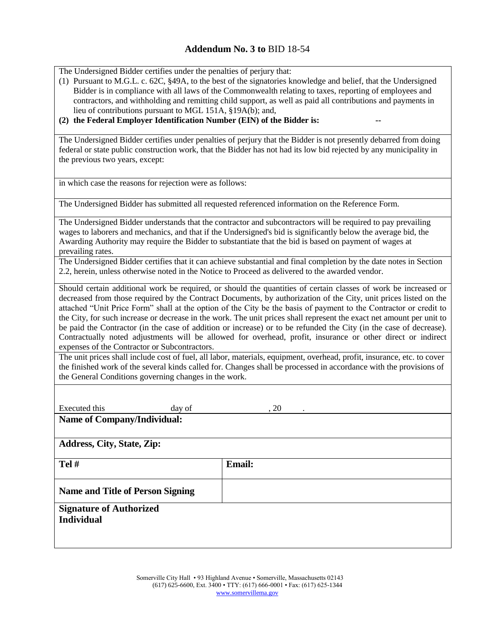The Undersigned Bidder certifies under the penalties of perjury that:

(1) Pursuant to M.G.L. c. 62C, §49A, to the best of the signatories knowledge and belief, that the Undersigned Bidder is in compliance with all laws of the Commonwealth relating to taxes, reporting of employees and contractors, and withholding and remitting child support, as well as paid all contributions and payments in lieu of contributions pursuant to MGL 151A, §19A(b); and,

(2) the Federal Employer Identification Number (EIN) of the Bidder is:

The Undersigned Bidder certifies under penalties of perjury that the Bidder is not presently debarred from doing federal or state public construction work, that the Bidder has not had its low bid rejected by any municipality in the previous two years, except:

in which case the reasons for rejection were as follows:

The Undersigned Bidder has submitted all requested referenced information on the Reference Form.

The Undersigned Bidder understands that the contractor and subcontractors will be required to pay prevailing wages to laborers and mechanics, and that if the Undersigned's bid is significantly below the average bid, the Awarding Authority may require the Bidder to substantiate that the bid is based on payment of wages at prevailing rates.

The Undersigned Bidder certifies that it can achieve substantial and final completion by the date notes in Section 2.2, herein, unless otherwise noted in the Notice to Proceed as delivered to the awarded vendor.

Should certain additional work be required, or should the quantities of certain classes of work be increased or decreased from those required by the Contract Documents, by authorization of the City, unit prices listed on the attached "Unit Price Form" shall at the option of the City be the basis of payment to the Contractor or credit to the City, for such increase or decrease in the work. The unit prices shall represent the exact net amount per unit to be paid the Contractor (in the case of addition or increase) or to be refunded the City (in the case of decrease). Contractually noted adjustments will be allowed for overhead, profit, insurance or other direct or indirect expenses of the Contractor or Subcontractors.

The unit prices shall include cost of fuel, all labor, materials, equipment, overhead, profit, insurance, etc. to cover the finished work of the several kinds called for. Changes shall be processed in accordance with the provisions of the General Conditions governing changes in the work.

Executed this day of the case of the secure of  $\alpha$  . 20

**Name of Company/Individual:**

**Address, City, State, Zip:**

| Tel #                                               | <b>Email:</b> |
|-----------------------------------------------------|---------------|
| Name and Title of Person Signing                    |               |
| <b>Signature of Authorized</b><br><b>Individual</b> |               |